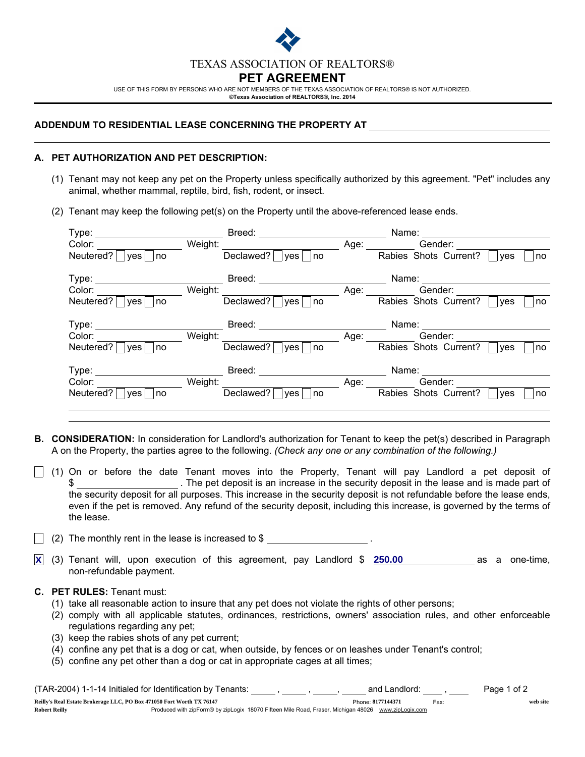

USE OF THIS FORM BY PERSONS WHO ARE NOT MEMBERS OF THE TEXAS ASSOCIATION OF REALTORS® IS NOT AUTHORIZED. ©Texas Association of REALTORS®, Inc. 2014

#### ADDENDUM TO RESIDENTIAL LEASE CONCERNING THE PROPERTY AT

### A. PET AUTHORIZATION AND PET DESCRIPTION:

- (1) Tenant may not keep any pet on the Property unless specifically authorized by this agreement. "Pet" includes any animal, whether mammal, reptile, bird, fish, rodent, or insect.
- (2) Tenant may keep the following pet(s) on the Property until the above-referenced lease ends.

| Type:                         |         | Breed:                        |      | Name:                 |     |    |
|-------------------------------|---------|-------------------------------|------|-----------------------|-----|----|
| Color:                        | Weight: |                               | Age: | Gender:               |     |    |
| Neutered?<br><b>ves</b><br>no |         | Declawed?<br>no<br><b>ves</b> |      | Rabies Shots Current? | ves | no |
| Type:                         |         | Breed:                        |      | Name:                 |     |    |
| Color:                        | Weight: |                               | Age: | Gender:               |     |    |
| Neutered?<br>ves<br>no        |         | Declawed?<br><b>ves</b><br>no |      | Rabies Shots Current? | ves | no |
| Type:                         |         | Breed:                        |      | Name:                 |     |    |
| Color:                        | Weight: |                               | Age: | Gender:               |     |    |
| Neutered?<br><b>ves</b><br>no |         | Declawed?<br><b>ves</b><br>no |      | Rabies Shots Current? | ves | no |
| Type:                         |         | Breed:                        |      | Name:                 |     |    |
| Color:                        | Weight: |                               | Age: | Gender:               |     |    |
| Neutered?<br><b>ves</b><br>no |         | Declawed?<br>no<br><b>ves</b> |      | Rabies Shots Current? | ves | no |
|                               |         |                               |      |                       |     |    |

- B. CONSIDERATION: In consideration for Landlord's authorization for Tenant to keep the pet(s) described in Paragraph A on the Property, the parties agree to the following. *(Check any one or any combination of the following.)*
- $\vert$  (1) On or before the date Tenant moves into the Property, Tenant will pay Landlord a pet deposit of \$ . The pet deposit is an increase in the security deposit in the lease and is made part of the security deposit for all purposes. This increase in the security deposit is not refundable before the lease ends, even if the pet is removed. Any refund of the security deposit, including this increase, is governed by the terms of the lease.

(2) The monthly rent in the lease is increased to  $$$ 

**<u>X</u>** (3) Tenant will, upon execution of this agreement, pay Landlord \$  $\overline{250.00}$  \_\_\_\_\_\_\_\_\_\_\_\_\_\_ as a one-time, non-refundable payment.

## C. PET RULES: Tenant must:

- (1) take all reasonable action to insure that any pet does not violate the rights of other persons;
- (2) comply with all applicable statutes, ordinances, restrictions, owners' association rules, and other enforceable regulations regarding any pet;
- (3) keep the rabies shots of any pet current;
- (4) confine any pet that is a dog or cat, when outside, by fences or on leashes under Tenant's control;
- (5) confine any pet other than a dog or cat in appropriate cages at all times;

| (TAR-2004) 1-1-14 Initialed for Identification by Tenants:            |                                                                                                     | and Landlord:     |      | Page 1 of 2 |
|-----------------------------------------------------------------------|-----------------------------------------------------------------------------------------------------|-------------------|------|-------------|
| Reilly's Real Estate Brokerage LLC, PO Box 471050 Fort Worth TX 76147 |                                                                                                     | Phone: 8177144371 | Fax: | web site    |
| <b>Robert Reilly</b>                                                  | Produced with zipForm® by zipLogix 18070 Fifteen Mile Road, Fraser, Michigan 48026 www.zipLogix.com |                   |      |             |